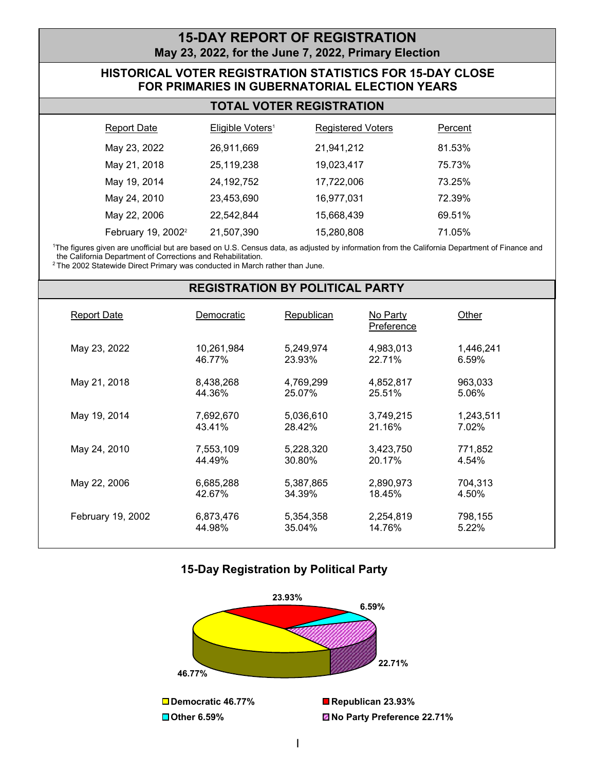## **15-DAY REPORT OF REGISTRATION May 23, 2022, for the June 7, 2022, Primary Election**

### **HISTORICAL VOTER REGISTRATION STATISTICS FOR 15-DAY CLOSE FOR PRIMARIES IN GUBERNATORIAL ELECTION YEARS**

| Report Date                    | Eligible Voters <sup>1</sup> | <b>Registered Voters</b> | Percent |
|--------------------------------|------------------------------|--------------------------|---------|
| May 23, 2022                   | 26,911,669                   | 21,941,212               | 81.53%  |
| May 21, 2018                   | 25,119,238                   | 19,023,417               | 75.73%  |
| May 19, 2014                   | 24,192,752                   | 17,722,006               | 73.25%  |
| May 24, 2010                   | 23,453,690                   | 16,977,031               | 72.39%  |
| May 22, 2006                   | 22.542.844                   | 15,668,439               | 69.51%  |
| February 19, 2002 <sup>2</sup> | 21,507,390                   | 15,280,808               | 71.05%  |

 1 The figures given are unofficial but are based on U.S. Census data, as adjusted by information from the California Department of Finance and the California Department of Corrections and Rehabilitation.

<sup>2</sup> The 2002 Statewide Direct Primary was conducted in March rather than June.

#### **REGISTRATION BY POLITICAL PARTY**

| <b>Report Date</b> | Democratic           | Republican          | No Party<br>Preference | Other              |  |
|--------------------|----------------------|---------------------|------------------------|--------------------|--|
| May 23, 2022       | 10,261,984<br>46.77% | 5,249,974<br>23.93% | 4,983,013<br>22.71%    | 1,446,241<br>6.59% |  |
| May 21, 2018       | 8,438,268<br>44.36%  | 4,769,299<br>25.07% | 4,852,817<br>25.51%    | 963,033<br>5.06%   |  |
| May 19, 2014       | 7,692,670<br>43.41%  | 5,036,610<br>28.42% | 3,749,215<br>21.16%    | 1,243,511<br>7.02% |  |
| May 24, 2010       | 7,553,109<br>44.49%  | 5,228,320<br>30.80% | 3,423,750<br>20.17%    | 771,852<br>4.54%   |  |
| May 22, 2006       | 6,685,288<br>42.67%  | 5,387,865<br>34.39% | 2,890,973<br>18.45%    | 704.313<br>4.50%   |  |
| February 19, 2002  | 6,873,476<br>44.98%  | 5,354,358<br>35.04% | 2,254,819<br>14.76%    | 798,155<br>5.22%   |  |

### **15-Day Registration by Political Party**

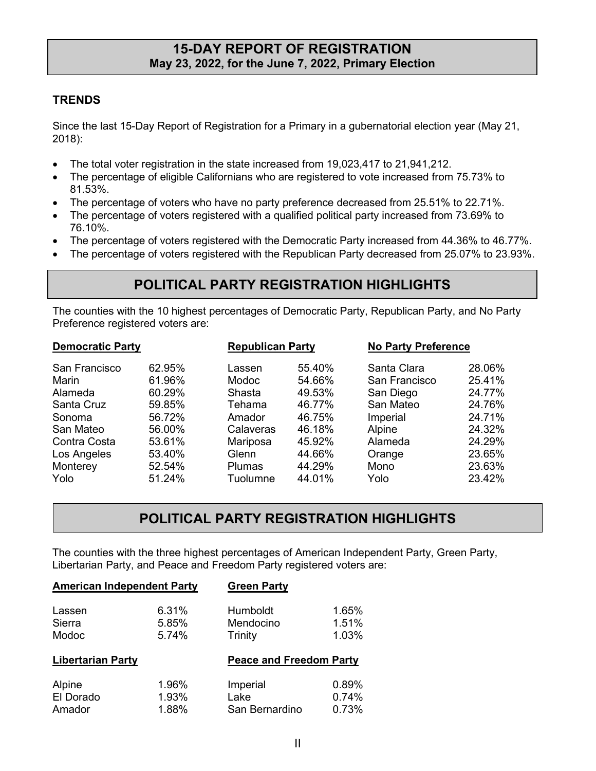## **May 23, 2022, for the June 7, 2022, Primary Election 15-DAY REPORT OF REGISTRATION**

### **TRENDS**

Since the last 15-Day Report of Registration for a Primary in a gubernatorial election year (May 21, 2018):

- The total voter registration in the state increased from 19,023,417 to 21,941,212.
- The percentage of eligible Californians who are registered to vote increased from 75.73% to 81.53%.
- The percentage of voters who have no party preference decreased from 25.51% to 22.71%.
- • The percentage of voters registered with a qualified political party increased from 73.69% to 76.10%.
- The percentage of voters registered with the Democratic Party increased from 44.36% to 46.77%.
- The percentage of voters registered with the Republican Party decreased from 25.07% to 23.93%.

# **POLITICAL PARTY REGISTRATION HIGHLIGHTS**

The counties with the 10 highest percentages of Democratic Party, Republican Party, and No Party Preference registered voters are:

| <b>Democratic Party</b> |        | <b>Republican Party</b> |        |               | <b>No Party Preference</b> |  |
|-------------------------|--------|-------------------------|--------|---------------|----------------------------|--|
| San Francisco           | 62.95% | Lassen                  | 55.40% | Santa Clara   | 28.06%                     |  |
| <b>Marin</b>            | 61.96% | <b>Modoc</b>            | 54.66% | San Francisco | 25.41%                     |  |
| Alameda                 | 60.29% | Shasta                  | 49.53% | San Diego     | 24.77%                     |  |
| Santa Cruz              | 59.85% | Tehama                  | 46.77% | San Mateo     | 24.76%                     |  |
| Sonoma                  | 56.72% | Amador                  | 46.75% | Imperial      | 24.71%                     |  |
| San Mateo               | 56.00% | Calaveras               | 46.18% | Alpine        | 24.32%                     |  |
| Contra Costa            | 53.61% | Mariposa                | 45.92% | Alameda       | 24.29%                     |  |
| Los Angeles             | 53.40% | Glenn                   | 44.66% | Orange        | 23.65%                     |  |
| Monterey                | 52.54% | <b>Plumas</b>           | 44.29% | Mono          | 23.63%                     |  |
| Yolo                    | 51.24% | Tuolumne                | 44.01% | Yolo          | 23.42%                     |  |

# **POLITICAL PARTY REGISTRATION HIGHLIGHTS**

The counties with the three highest percentages of American Independent Party, Green Party, Libertarian Party, and Peace and Freedom Party registered voters are:

| <b>American Independent Party</b> |                         | <b>Green Party</b>                      |                         |
|-----------------------------------|-------------------------|-----------------------------------------|-------------------------|
| Lassen<br>Sierra<br>Modoc         | 6.31%<br>5.85%<br>5.74% | Humboldt<br>Mendocino<br><b>Trinity</b> | 1.65%<br>1.51%<br>1.03% |
|                                   |                         |                                         |                         |
| <b>Libertarian Party</b>          |                         | <b>Peace and Freedom Party</b>          |                         |